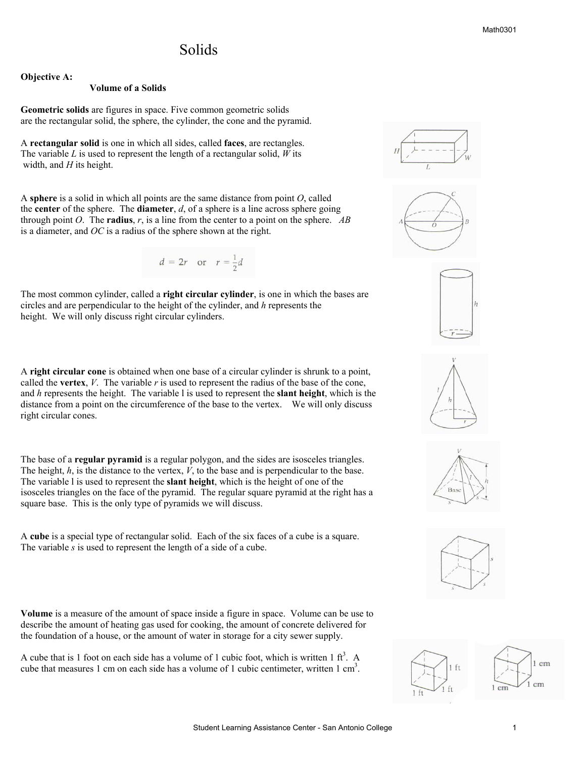## Solids

**Objective A:** 

#### **Volume of a Solids**

**Geometric solids** are figures in space. Five common geometric solids are the rectangular solid, the sphere, the cylinder, the cone and the pyramid.

A **rectangular solid** is one in which all sides, called **faces**, are rectangles. The variable *L* is used to represent the length of a rectangular solid, *W* its width, and *H* its height.

A **sphere** is a solid in which all points are the same distance from point *O*, called the **center** of the sphere. The **diameter**, *d*, of a sphere is a line across sphere going through point *O*. The **radius**, *r*, is a line from the center to a point on the sphere. *AB* is a diameter, and *OC* is a radius of the sphere shown at the right.

$$
d = 2r \quad \text{or} \quad r = \frac{1}{2}d
$$

The most common cylinder, called a **right circular cylinder**, is one in which the bases are circles and are perpendicular to the height of the cylinder, and *h* represents the height. We will only discuss right circular cylinders.

A **right circular cone** is obtained when one base of a circular cylinder is shrunk to a point, called the **vertex**,  $V$ . The variable  $r$  is used to represent the radius of the base of the cone, and *h* represents the height. The variable l is used to represent the **slant height**, which is the distance from a point on the circumference of the base to the vertex. We will only discuss right circular cones.

The base of a **regular pyramid** is a regular polygon, and the sides are isosceles triangles. The height, *h*, is the distance to the vertex, *V*, to the base and is perpendicular to the base. The variable l is used to represent the **slant height**, which is the height of one of the isosceles triangles on the face of the pyramid. The regular square pyramid at the right has a square base. This is the only type of pyramids we will discuss.

A **cube** is a special type of rectangular solid. Each of the six faces of a cube is a square. The variable *s* is used to represent the length of a side of a cube.

**Volume** is a measure of the amount of space inside a figure in space. Volume can be use to describe the amount of heating gas used for cooking, the amount of concrete delivered for the foundation of a house, or the amount of water in storage for a city sewer supply.

A cube that is 1 foot on each side has a volume of 1 cubic foot, which is written 1  $ft<sup>3</sup>$ . A cube that measures 1 cm on each side has a volume of 1 cubic centimeter, written 1 cm<sup>3</sup>.













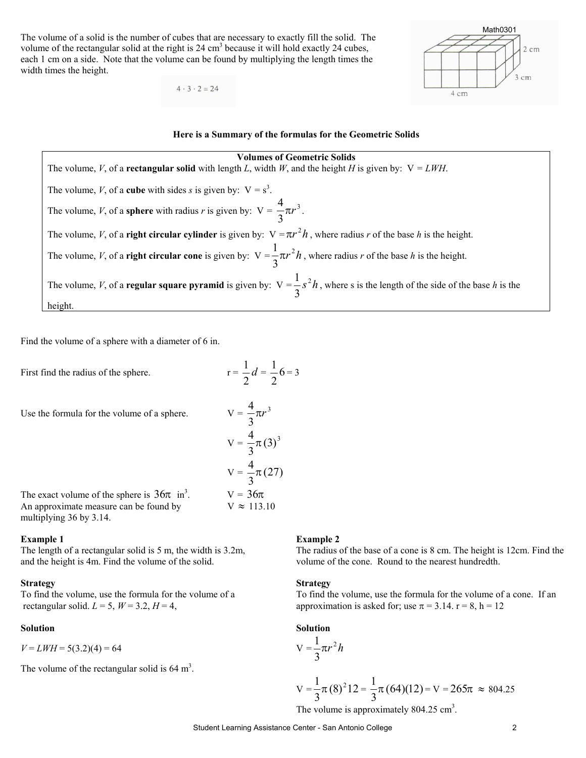The volume of a solid is the number of cubes that are necessary to exactly fill the solid. The volume of the rectangular solid at the right is  $24 \text{ cm}^3$  because it will hold exactly  $24 \text{ cubes}$ , each 1 cm on a side. Note that the volume can be found by multiplying the length times the width times the height.

 $4 \cdot 3 \cdot 2 = 24$ 





### **Volumes of Geometric Solids**

The volume, *V*, of a **rectangular solid** with length *L*, width *W*, and the height *H* is given by:  $V = LWH$ . The volume, *V*, of a **cube** with sides *s* is given by:  $V = s^3$ . The volume, *V*, of a **sphere** with radius *r* is given by:  $V = \frac{4}{3}\pi r^3$ 3  $\frac{4}{3} \pi r^3$ . The volume, *V*, of a **right circular cylinder** is given by:  $V = \pi r^2 h$ , where radius *r* of the base *h* is the height. The volume, *V*, of a **right circular cone** is given by:  $V = \frac{1}{2}\pi r^2 h$ 3  $\frac{1}{\epsilon} \pi r^2 h$ , where radius *r* of the base *h* is the height. The volume, *V*, of a **regular square pyramid** is given by:  $V = \frac{1}{2} s^2 h$ 3  $\frac{1}{2} s^2 h$ , where s is the length of the side of the base *h* is the height.

Find the volume of a sphere with a diameter of 6 in.

First find the radius of the sphere.

Use the formula for the volume of a sphere.

Use the formula for the volume of a sphere.  
\n
$$
V = \frac{4}{3}\pi r^3
$$
\n
$$
V = \frac{4}{3}\pi (3)^3
$$
\n
$$
V = \frac{4}{3}\pi (27)
$$
\nThe exact volume of the sphere is  $36\pi$  in<sup>3</sup>.  
\nAn approximate measure can be found by  
\n
$$
V = 36\pi
$$
\n
$$
V = 113.10
$$

2

 $\frac{1}{2}d = \frac{1}{2}6$ 2  $\frac{1}{2}6 = 3$ 

The exact volume of the sphere is  $36\pi$  in<sup>3</sup>. .  $V = 36π$ An approximate measure can be found by multiplying 36 by 3.14.

and the height is 4m. Find the volume of the solid. volume of the cone. Round to the nearest hundredth.

#### **Strategy** Strategy **Strategy**

rectangular solid.  $L = 5$ ,  $W = 3.2$ ,  $H = 4$ , approximation is asked for; use  $\pi = 3.14$ .  $r = 8$ ,  $h = 12$ 

 $V = LWH = 5(3.2)(4) = 64$ 

The volume of the rectangular solid is  $64 \text{ m}^3$ .

#### **Example 1** Example 2

The length of a rectangular solid is 5 m, the width is 3.2m, The radius of the base of a cone is 8 cm. The height is 12cm. Find the

To find the volume, use the formula for the volume of a To find the volume, use the formula for the volume of a cone. If an

#### **Solution** Solution Solution Solution Solution

$$
V=\frac{1}{3}\pi r^2 h
$$

$$
V = \frac{1}{3}\pi (8)^{2}12 = \frac{1}{3}\pi (64)(12) = V = 265\pi \approx 804.25
$$

The volume is approximately  $804.25 \text{ cm}^3$ .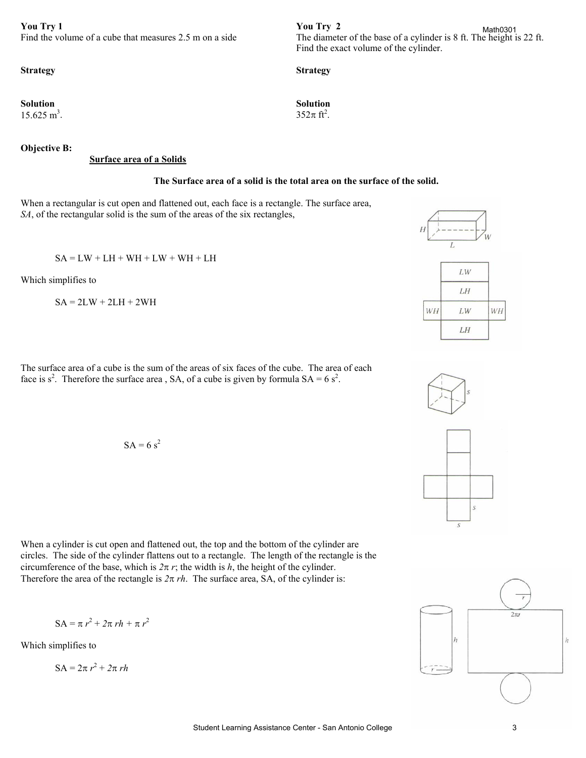**You Try 1** You Try 2<br>Find the volume of a cube that measures 2.5 m on a side The diameter

**Solution** Solution Solution Solution Solution  $15.625 \text{ m}^3$ .

**Objective B:** 

#### **Surface area of a Solids**

#### **The Surface area of a solid is the total area on the surface of the solid.**

When a rectangular is cut open and flattened out, each face is a rectangle. The surface area, *SA*, of the rectangular solid is the sum of the areas of the six rectangles,

 $SA = LW + LH + WH + LW + WH + LH$ 

Which simplifies to

 $SA = 2LW + 2LH + 2WH$ 

The surface area of a cube is the sum of the areas of six faces of the cube. The area of each face is  $s^2$ . Therefore the surface area, SA, of a cube is given by formula  $SA = 6 s^2$ .

$$
SA = 6 s2
$$

When a cylinder is cut open and flattened out, the top and the bottom of the cylinder are circles. The side of the cylinder flattens out to a rectangle. The length of the rectangle is the circumference of the base, which is  $2\pi r$ ; the width is *h*, the height of the cylinder. Therefore the area of the rectangle is  $2\pi rh$ . The surface area, SA, of the cylinder is:

$$
SA = \pi r^2 + 2\pi rh + \pi r^2
$$

Which simplifies to

$$
SA = 2\pi r^2 + 2\pi rh
$$



### **Strategy Strategy**

.  $352\pi$  ft<sup>2</sup>.





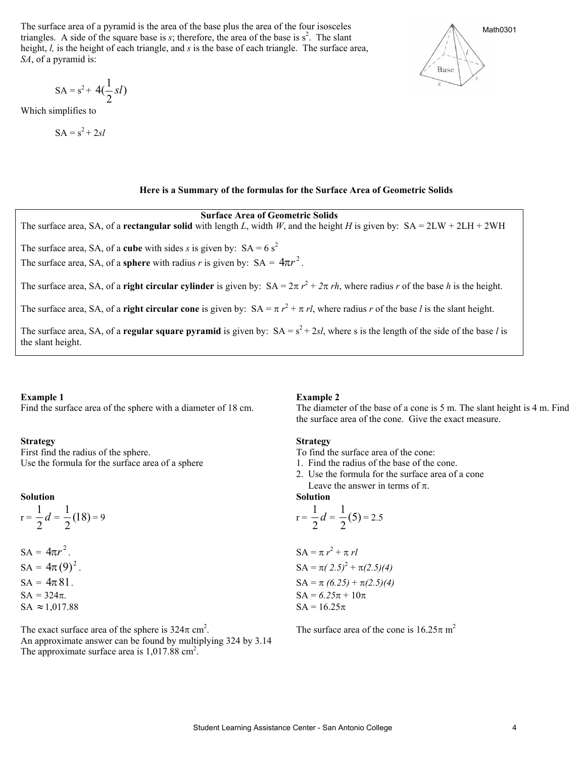The surface area of a pyramid is the area of the base plus the area of the four isosceles triangles. A side of the square base is  $s$ ; therefore, the area of the base is  $s^2$ . The slant height, *l*, is the height of each triangle, and *s* is the base of each triangle. The surface area, *SA*, of a pyramid is:

$$
SA = s^2 + 4\left(\frac{1}{2}sl\right)
$$

Which simplifies to

$$
SA = s^2 + 2sl
$$



### **Here is a Summary of the formulas for the Surface Area of Geometric Solids**

**Surface Area of Geometric Solids**  The surface area, SA, of a **rectangular solid** with length *L*, width *W*, and the height *H* is given by: SA = 2LW + 2LH + 2WH The surface area, SA, of a **cube** with sides *s* is given by:  $SA = 6 s^2$ The surface area, SA, of a **sphere** with radius *r* is given by:  $SA = 4\pi r^2$ . The surface area, SA, of a **right circular cylinder** is given by:  $SA = 2\pi r^2 + 2\pi rh$ , where radius *r* of the base *h* is the height. The surface area, SA, of a **right circular cone** is given by:  $SA = \pi r^2 + \pi rl$ , where radius *r* of the base *l* is the slant height. The surface area, SA, of a **regular square pyramid** is given by:  $SA = s^2 + 2sl$ , where s is the length of the side of the base *l* is the slant height.

### **Example 1** Example 2

### **Strategy Strategy**

First find the radius of the sphere. To find the surface area of the cone: Use the formula for the surface area of a sphere 1. Find the radius of the base of the cone.

 $r = -\frac{1}{2}d$  $\frac{1}{2}d = \frac{1}{2}(18)$ 

| $SA = 4\pi r^2$ .   | $SA = \pi r^2 + \pi$      |
|---------------------|---------------------------|
| $SA = 4\pi (9)^2$ . | $SA = \pi (2.5)^2$        |
| $SA = 324\pi$ .     | $SA = 324\pi$ .           |
| $SA = 324\pi$ .     | $SA = 6.25\pi + 16.25\pi$ |

The exact surface area of the sphere is  $324\pi$  cm<sup>2</sup>. An approximate answer can be found by multiplying 324 by 3.14 The approximate surface area is 1,017.88 cm<sup>2</sup>.

Find the surface area of the sphere with a diameter of 18 cm. The diameter of the base of a cone is 5 m. The slant height is 4 m. Find the surface area of the cone. Give the exact measure.

- 
- 
- 2. Use the formula for the surface area of a cone Leave the answer in terms of  $\pi$ .

### **Solution** Solution Solution Solution Solution

$$
r = \frac{1}{2}d = \frac{1}{2}(5) = 2.5
$$

$$
SA = 4\pi r^{2}.
$$
  
\n
$$
SA = 4\pi (9)^{2}.
$$
  
\n
$$
SA = 4\pi (12.5)^{2} + \pi (2.5)(4)
$$
  
\n
$$
SA = 4\pi (12.5)^{2} + \pi (2.5)(4)
$$
  
\n
$$
SA = \pi (2.5)^{2} + \pi (2.5)(4)
$$
  
\n
$$
SA = \pi (6.25) + \pi (2.5)(4)
$$
  
\n
$$
SA = 324\pi.
$$
  
\n
$$
SA = 1017.88
$$
  
\n
$$
SA = 16.25\pi
$$

The surface area of the cone is  $16.25\pi$  m<sup>2</sup>